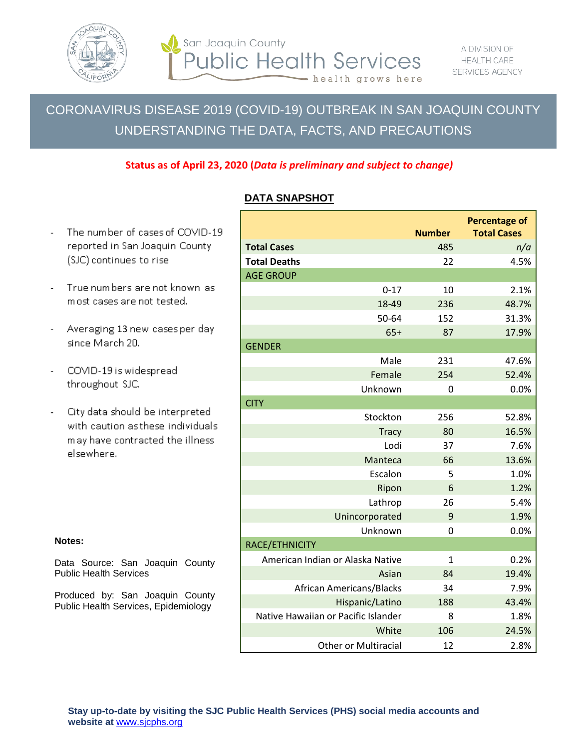

 $\overline{a}$ 

San Joaquin County **Public Health Services** - health grows here

## CORONAVIRUS DISEASE 2019 (COVID-19) OUTBREAK IN SAN JOAQUIN COUNTY UNDERSTANDING THE DATA, FACTS, AND PRECAUTIONS

#### **Status as of April 23, 2020 (***Data is preliminary and subject to change)*

#### **DATA SNAPSHOT**

**Percentage of**  The number of cases of COVID-19 **Number Total Cases** reported in San Joaquin County **Total Cases** 485 *n/a* (SJC) continues to rise **Total Deaths** 22 4.5% AGE GROUP True numbers are not known as 0-17 10 2.1% most cases are not tested. 18-49 236 48.7% 50-64 152 31.3% Averaging 13 new cases per day 65+ 87 17.9% since March 20. **GENDER** Male 231 47.6% COVID-19 is widespread Female 254 52.4% throughout SJC. Unknown 0 0.0% **CITY** City data should be interpreted Stockton 256 52.8% with caution as these individuals Tracy 80 16.5% may have contracted the illness Lodi 37 7.6% elsewhere. Manteca 66 13.6% Escalon 5 1.0% Ripon 6 1.2% Lathrop 26 5.4% Unincorporated 9 1.9% Unknown 0 0.0% RACE/ETHNICITY American Indian or Alaska Native 1 1 0.2% Asian 84 19.4% African Americans/Blacks 34 7.9% Hispanic/Latino 188 43.4% Native Hawaiian or Pacific Islander 8 1.8% White 106 24.5% Other or Multiracial 12 2.8%

# **Notes:**

Data Source: San Joaquin County Public Health Services

Produced by: San Joaquin County Public Health Services, Epidemiology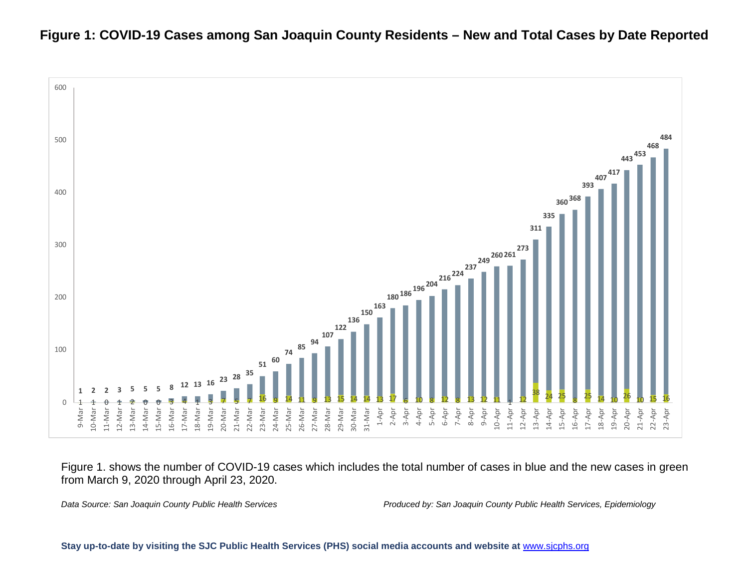### **Figure 1: COVID-19 Cases among San Joaquin County Residents – New and Total Cases by Date Reported**



Figure 1. shows the number of COVID-19 cases which includes the total number of cases in blue and the new cases in green from March 9, 2020 through April 23, 2020.

*Data Source: San Joaquin County Public Health Services Produced by: San Joaquin County Public Health Services, Epidemiology*